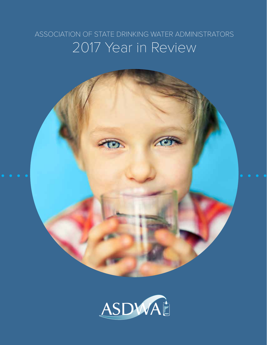### ASSOCIATION OF STATE DRINKING WATER ADMINISTRATORS 2017 Year in Review

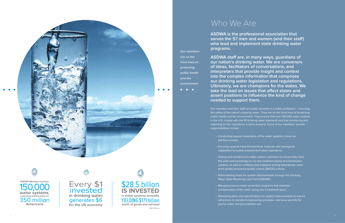

**ASDWA Members oversee** water systems. protecting drinking water for 350 million **Americans** 

Every \$1<br>invested in drinking water generates \$6 for the US economy



**ASDWA is the professional association that serves the 57 men and women (and their staff) who lead and implement state drinking water programs.** 

**ASDWA staff are, in many ways, guardians of our nation's drinking water. We are conveners of ideas, facilitators of conversations, and interpreters that provide insight and context into the complex information that comprises our drinking water legislation and regulations. Ultimately, we are champions for the states. We take the lead on issues that affect states and assert positions to influence the kind of change needed to support them.**

Our members and their staff are public servants in a noble profession – ensuring the safety of the nation's drinking water. They are on the front lines of protecting public health and the environment. They ensure that over 150,000 water systems in the U.S. comply with the 91 drinking water standards and that monitoring and reporting for the regulations is done properly. Some of our members' specific responsibilities include:

• Conducting regular inspections of the water systems, known as

• Testing and certifying the water system operators to ensure they have the skills and knowledge to run the treatment plants and distribution systems, as well as certifying that analytical testing laboratories meet

- sanitary surveys.
- Ensuring systems have the technical, financial, and managerial capabilities to sustain present and future operations.
- strict quality assurance/quality control (QA/QC) criteria.
- Water State Revolving Loan Fund (DWSRF).
- Managing source water protection programs that minimize contamination of the water going into a treatment plant.
- source water and groundwater use.

• Administering loans for system improvements through the Drinking

• Reviewing plans and specifications for system improvements to ensure adherence to standard engineering principles, and issue permits for

## Who We Are

**Our members** 

**are on the front lines of** 

**protecting public health** 

**and the** 

**environment**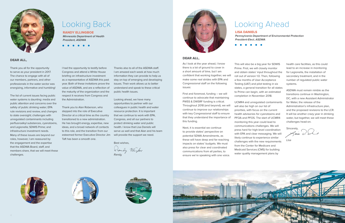#### DEAR ALL,

Thank you all for the opportunity to serve as your president in 2017. The chance to engage with all of our members, partners, and other professionals in the water sector was energizing, informative and humbling!

The list of current issues facing public water systems is daunting: media and public attention and concerns over the safety of public drinking water; EPA rule revisions and review, and changes to state oversight; challenges with unregulated contaminants including perfluoroalkyl substances, cyanotoxins, and Legionella; SDWIS Prime; and infrastructure investment needs. Many of these issues are beyond our roles, however, I am reassured by the engagement and the expertise that the ASDWA Board, staff, and members share, that we will meet these challenges.



# Looking Back

I had the opportunity to testify before Congress and attend a White House briefing on infrastructure investment as a representative of ASDWA this past year. Both of these invitations prove the value of ASDWA, and are a reflection of the maturity of the organization and the respect it receives from Congress and the Administration.

Thank you to Alan Roberson, who stepped into the role of Executive Director at a critical time as the country transitioned to a new administration. He has brought energy, expertise, new ideas, and a broad network of contacts to this role, and the transition from our esteemed former Executive Director Jim Taft has been a smooth one.

Thanks also to all of the ASDWA staff. I am amazed each week at how much information they can provide to help us stay on top of emerging and developing issues. Their work allows us to better understand and speak to these critical public health issues.

Looking ahead, we have many opportunities to partner with our colleagues in public health and water resource protection. It is important that we continue to work with EPA, Congress, and all our partners to protect drinking water and public health. I know that Lisa Daniels will serve us well and that Alan and his team will provide the support we need.

Best wishes,

Vendy Ellinford



### RANDY ELLINGBOE

**Minnesota Department of Health President, ASDWA**



### DEAR ALL,

As I look at the year ahead, I know there is a lot of ground to cover in a short amount of time, but I am confident that working together, we will make some real strides with EPA and Congressional staff on the following issues:

First and foremost, funding – we will continue to advocate that maintaining PWSS & DWSRF funding is critical. Throughout 2018 (and beyond), we will continue to improve our relationships with key Congressional staff to ensure that they understand the importance of this funding.

Next, it is essential we continue to provide states' perspective on potential SDWA Amendments, as these will have deep and far-reaching impacts on states' budgets. We must also press for clear and coordinated communications from all parties, to ensure we're speaking with one voice.

# Looking Ahead

This will also be a big year for SDWIS Prime. First, we will closely monitor and obtain states' input throughout the roll out of version 1.0. Then, following a few months of User Acceptance Testing (UAT) and pilot testing in six states, a general transition for all states to Prime can begin, with an estimated completion in November 2018.

UCMR4 and unregulated contaminants will also be high on our list of priorities, with focus on the current health advisories for cyanotoxins and PFOA and PFOS. The start of UCMR4 monitoring this year could lead to communications challenges. We will press hard for high-level coordination with EPA and clear messaging. We will likely continue to experience similar challenges with the new requirements from the Center for Medicare and Medicaid Services (CMS) for building water quality management plans by







health care facilities, as this could lead to an increase in monitoring for Legionella, the installation of secondary treatment, and in the number of regulated public water systems.

ASDWA must remain nimble as the transitions continue in Washington, DC, with a new Assistant Administrator for Water, the release of the Administration's infrastructure plan, and the proposed revisions to the LCR. It will be another crazy year in drinking water, but together, we will meet these challenges head-on.

Sincerely,  $\bigcirc$   $\bigcirc$   $\bigcirc$ 

Lisa

LISA DANIELS

**Pennsylvania Department of Environmental Protection President-Elect, ASDWA**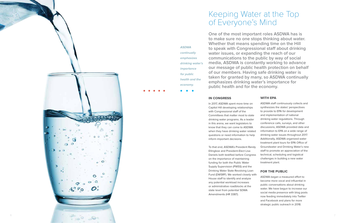#### IN CONGRESS

Supply Supervision (PWSS) and the Drinking Water State Revolving Loan Fund (DWSRF). We worked closely with House staff to identify and analyze any potential workload increases or administrative roadblocks at the state level from potential SDWA Amendments (HR 3387).



In 2017, ASDWA spent more time on Capitol Hill developing relationships with Congressional staff of the Committees that matter most to state drinking water programs. As a leader in this arena, we want legislators to know that they can come to ASDWA when they have drinking water related questions or need information to help inform important decisions. To that end, ASDWA's President Randy Ellingboe and President-Elect Lisa Daniels both testified before Congress on the importance of maintaining funding for both the Public Water ASDWA staff continuously collects and synthesizes the states' perspectives to provide to EPA for development and implementation of national drinking water regulations. Through conference calls, surveys, and other discussions, ASDWA provided data and information to EPA on a wide range of drinking water issues throughout 2017. Additionally, ASDWA organized water treatment plant tours for EPA Office of Groundwater and Drinking Water's new staff to promote an appreciation of the technical, scheduling and logistical challenges in building a new water treatment plant.



### WITH EPA

#### FOR THE PUBLIC

ASDWA began a measured effort to become more vocal and influential in public conversations about drinking water. We have begun to increase our social media presence with blog posts now feeding immediately into Twitter and Facebook and plans for more strategic public outreach in 2018.

**One of the most important roles ASDWA has is to make sure no one stops thinking about water. Whether that means spending time on the Hill to speak with Congressional staff about drinking water issues, or expanding the reach of our communications to the public by way of social media, ASDWA is constantly working to advance our message of public health protection on behalf of our members. Having safe drinking water is taken for granted by many, so ASDWA continually emphasizes drinking water's importance for public health and for the economy.** 

**ASDWA** 

**continually emphasizes** 

**drinking water's** 

**importance for public** 

**health and the** 

**economy.**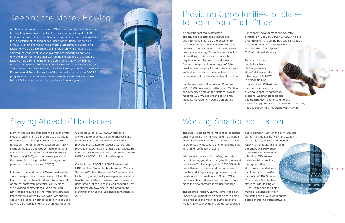# Keeping the Money Flowing

### Staying Ahead of Hot Issues

# Providing Opportunities for States to Learn from Each Other

# Working Smarter Not Harder

Another important function for ASDWA is to ensure the states have the funding they need to accomplish the important work they do. On this front, we met with House and Senate appropriations staff and explained the importance of the funding for Public Water Supply Supervision (PWSS) Program and the Drinking Water State Revolving Loan Fund (DWSRF). We also developed a White Paper on PWSS funding that showed the impacts of inflation over the past decade as part of our effort to inform Congressional staff on the importance of this funding. Last, we held a Hill Briefing on the 20th anniversary of DWSRF that focused on the first DWSRF loan for Williamsburg, Pennsylvania in 1997. The speakers from EPA, Pennvest, and the Pennsylvania Department of Environmental Protection spoke of the national impacts of the DWSRF program (over 13,000 drinking water projects) and how this first loan helped Williamsburg rebuild its deteriorated water system.

Many hot issues are impacting the drinking water industry today and it's our charge to stay ahead of them so we can amply prepare the states for action. The top three we focused on in 2017 included the Lead and Copper Rule, emerging contaminants such as Per- and Polyfluoroalkyl Substances (PFAS), and the growing focus on the prevention of opportunistic pathogens in premise plumbing systems (OPPPS).

In terms of the lead issue, ASDWA provided the states' perspective and expertise to EPA on the Lead and Copper Rule (LCR) and started a study on states' costs from potential LCR revisions. We provided comments to EPA on the lead notifications required by the Water Infrastructure Improvements for the Nation (WIIN) Act and we convened a panel on states' approaches to Lead Service Line Replacement at our annual meeting.

It's so important that states have opportunities to exchange knowledge and information, but also the occasion to share unique experiences dealing with any number of challenges facing drinking water programs every day. Through a combination of meetings, conferences and workshops, regularly scheduled webinars, discussion forums, surveys, and news blogs, ASDWA provides a framework for states to learn from each other and showcase effective solutions to drinking water issues impacting the nation.

For the Area Wide Optimization Program (AWOP), ASDWA facilitated Regional Meetings and organized and ran the National AWOP meeting. ASDWA also organized and ran the Data Management Users Conference (DMUC).

The public expects more information about the quality of their drinking water and they want it faster. States must be able to respond quickly to water quality questions and to have the data in hand for definitive answers.

With so much work in front of us, our states cannot be bogged down trying to find, interpret and then effectively apply data. SDWIS/State is the software that states and territories used to run their drinking water programs and report the data and information to EPA. ASDWA is helping states work in partnership with EPA to make the new software more user-friendly.

The updated version, SDWIS Prime, has been under development for a decade and is going to be released this year, following extensive work in 2017 to provide the states' perspective

On the issue of PFAS, ASDWA formed a workgroup to develop a plan to address state challenges. As a result, a letter was sent to EPA and the Centers for Disease Control and Prevention (CDC) detailing these challenges. This letter also included a series of recommendations to EPA and CDC to fill critical data gaps.

On the issue of OPPPS, ASDWA worked with CDC and the Centers for Medicare and Medicaid Services (CMS) on the recent CMS requirement for building water quality management plans for health care facilities. These new requirements generated a lot of questions (and concerns from the states). ASDWA also collaborated on the planning for a national Legionella conference in 2018.

For capacity development and operator certification (CapDev/OpCert), ASDWA helped organize and manage the Regions 1-5 CapDev/ OpCert Meeting and began planning with EPA the 2018 CapDev/ OpCert National Meeting.

Travel and budget restrictions have challenged many states' abilities to take advantage of ASDWA's in-person training opportunities. ASDWA has therefore increased the use of video to capture conference sessions, webinar proceedings, and training events to ensure no one misses an opportunity to get the information they

need to support the important work they do.

and expertise to EPA on the software. The states' transition to SDWIS Prime starts in late 2018, and, in 2019 and beyond, ASDWA's members, its staff and the public will likely begin to experience the fruits of this labor. ASDWA was instrumental in providing the organizational structure for the dialogue and information transfer for multiple SDWIS Prime Committees. We identified states for pilot testing of SDWIS Prime and facilitated multiple meetings between the states and EPA to work on the details of this important software.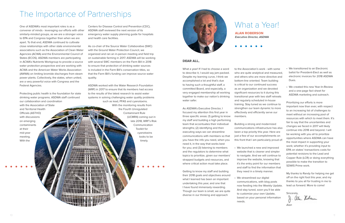## The Importance of Partnerships

*MANITERRANDA* 

WWW.NIRWW

*HERLITI* TITLININGO

Protecting public health is the foundation for state drinking water programs. ASDWA staff continued our collaboration and coordination with the Association of State and Territorial Health Officials (ASTHO) with discussions on emerging contaminants at their mid-year meeting. With the ANGEL 11 MARS

One of ASDWA's most important roles is as a convener of minds - leveraging our efforts with other similarly-minded groups, as we are a stronger voice to EPA and Congress together than when we are apart. To that end, ASDWA continued to cultivate close relationships with other state environmental associations such as the Association of Clean Water Agencies (ACWA) and the Environmental Council of States (ECOS). ASDWA members are participating in ACWA's Nutrients Workgroup to provide a source water protection prospective and are working with ACWA and the American Water Works Association (AWWA) on limiting bromide discharges from steam power plants. Collectively, the states, when united, are a very powerful voice with Congress and the Federal Agencies.

Centers for Disease Control and Prevention (CDC), ASDWA staff reviewed the next version of its emergency water supply planning guide for hospitals and health care facilities.

As co-chair of the Source Water Collaborative (SWC) with the Ground Water Protection Council, we organized and ran an in-person meeting and field trip on sustainable farming in 2017. ASDWA will be working with several SWC members on the Farm Bill in 2018 to ensure that protection of drinking water sources is included in the Farm Bill's conservation titles, so that the Farm Bill's funding can improve source water quality.

ASDWA worked with the Water Research Foundation (WRF) in 2017 to ensure that its members had access to the results of the latest research to assist water systems in solving challenging water quality problems such as lead, PFAS and cyanotoxins. With the monitoring results from the Fourth Unregulated Contaminant Rule (UCMR4) coming out in late 2018, WRF's Risk Communication Toolkit for cyanotoxins looks to be timely.



### What a Year!

#### DEAR ALL,

What a year! If I had to choose a word to describe it, I would say jam-packed. Despite my learning curve, I think we accomplished a lot and that's due to having such a thoughtful staff, a committed Board, and especially, a very engaged membership all working together to make our nation's drinking water safer.

> Sincerely, J. alan Robern

As ASDWA's Executive Director, I focused my attention this first year in three specific areas: (1) getting to know my staff and building a high performing team that accentuates their individual strengths; (2) identifying and then executing ways we can streamline communications with members so that you have the info you need, when you need it, in the way that works best for you; and (3) listening to members and the regulators to determine what topics to prioritize, given our members' strapped budgets and resources, and where critical action must take place.

Getting to know my staff and building their 2018 goals and objectives around what I learned has been an important undertaking this year, and one that I have found immensely rewarding. Though our team is small, we are quite diverse in our thinking and approach

to the Association's work - with some who are quite analytical and measured, and others who are more directive and bottom-line oriented. Team building is critical to our continued success as an organization and we devoted significant resources to it during this transitional year with two staff retreats and regularly scheduled in-house training. Stay tuned as we continue to strengthen our team dynamic to more effectively and efficiently serve our

members.

Building a strong and modernized communications infrastructure has also been a top priority this year. Here are just a few of our accomplishments on this front that I am particularly proud of:

• We launched a new and improved website that is cleaner and simpler to navigate. And we will continue to improve the website, knowing that it's the entry point for our members and staff to find the information that they need in a timely manner.

- 
- We streamlined our digital needs.

communications, with blog posts now feeding into the Weekly Update. And stay tuned, soon you'll be able to customize your own Update, based on your personal information

- We transitioned to an Electronic ballot for President-Elect as well as electronic invoices for 2018 ASDWA Dues.
- We created this new Year-In-Review and a one-page fact sheet for ASDWA marketing and outreach.

Prioritizing our efforts is more important now than ever, with respect to an increasing list of challenges to meet without an increasing pool of resources with which to meet them. It's fair to say that the uncertainties and changes we faced in 2017 will likely continue into 2018 and beyond. I will be working with you all to prioritize opportunities where ASDWA can have the most impact in supporting your work; whether it's providing input to EPA on states' transactions costs for potential revisions to the Lead and Copper Rule (LCR) or doing everything possible to make the transition to SDWIS Prime work.

My thanks to Randy for helping me get off on the right foot this year, and my thanks to you all for trusting in me to lead us forward. More to come!

ALAN ROBERSON **Executive Director, ASDWA**